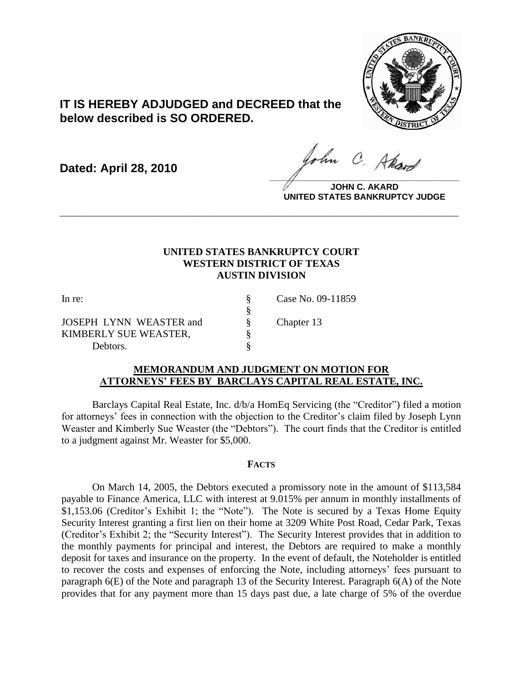

# **IT IS HEREBY ADJUDGED and DECREED that the below described is SO ORDERED.**

**Dated: April 28, 2010**

ohn C. Akan **\_\_\_\_\_\_\_\_\_\_\_\_\_\_\_\_\_\_\_\_\_\_\_\_\_\_\_\_\_\_\_\_\_\_\_\_\_\_\_\_**

**JOHN C. AKARD UNITED STATES BANKRUPTCY JUDGE**

## **UNITED STATES BANKRUPTCY COURT WESTERN DISTRICT OF TEXAS AUSTIN DIVISION**

**\_\_\_\_\_\_\_\_\_\_\_\_\_\_\_\_\_\_\_\_\_\_\_\_\_\_\_\_\_\_\_\_\_\_\_\_\_\_\_\_\_\_\_\_\_\_\_\_\_\_\_\_\_\_\_\_\_\_\_\_**

In re: § Case No. 09-11859 § JOSEPH LYNN WEASTER and  $\qquad \S$  Chapter 13 KIMBERLY SUE WEASTER,  $§$ Debtors.  $\S$ 

#### **MEMORANDUM AND JUDGMENT ON MOTION FOR ATTORNEYS' FEES BY BARCLAYS CAPITAL REAL ESTATE, INC.**

Barclays Capital Real Estate, Inc. d/b/a HomEq Servicing (the "Creditor") filed a motion for attorneys' fees in connection with the objection to the Creditor's claim filed by Joseph Lynn Weaster and Kimberly Sue Weaster (the "Debtors"). The court finds that the Creditor is entitled to a judgment against Mr. Weaster for \$5,000.

### **FACTS**

On March 14, 2005, the Debtors executed a promissory note in the amount of \$113,584 payable to Finance America, LLC with interest at 9.015% per annum in monthly installments of \$1,153.06 (Creditor's Exhibit 1; the "Note"). The Note is secured by a Texas Home Equity Security Interest granting a first lien on their home at 3209 White Post Road, Cedar Park, Texas (Creditor's Exhibit 2; the "Security Interest"). The Security Interest provides that in addition to the monthly payments for principal and interest, the Debtors are required to make a monthly deposit for taxes and insurance on the property. In the event of default, the Noteholder is entitled to recover the costs and expenses of enforcing the Note, including attorneys' fees pursuant to paragraph 6(E) of the Note and paragraph 13 of the Security Interest. Paragraph 6(A) of the Note provides that for any payment more than 15 days past due, a late charge of 5% of the overdue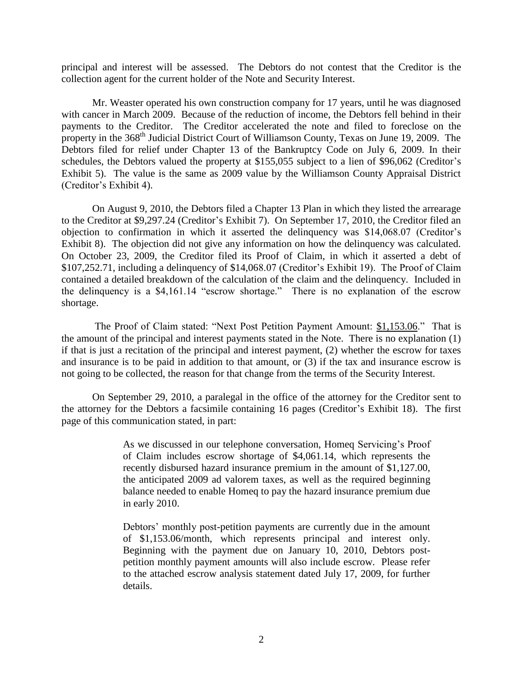principal and interest will be assessed. The Debtors do not contest that the Creditor is the collection agent for the current holder of the Note and Security Interest.

Mr. Weaster operated his own construction company for 17 years, until he was diagnosed with cancer in March 2009. Because of the reduction of income, the Debtors fell behind in their payments to the Creditor. The Creditor accelerated the note and filed to foreclose on the property in the 368<sup>th</sup> Judicial District Court of Williamson County, Texas on June 19, 2009. The Debtors filed for relief under Chapter 13 of the Bankruptcy Code on July 6, 2009. In their schedules, the Debtors valued the property at \$155,055 subject to a lien of \$96,062 (Creditor's Exhibit 5). The value is the same as 2009 value by the Williamson County Appraisal District (Creditor's Exhibit 4).

On August 9, 2010, the Debtors filed a Chapter 13 Plan in which they listed the arrearage to the Creditor at \$9,297.24 (Creditor's Exhibit 7). On September 17, 2010, the Creditor filed an objection to confirmation in which it asserted the delinquency was \$14,068.07 (Creditor's Exhibit 8). The objection did not give any information on how the delinquency was calculated. On October 23, 2009, the Creditor filed its Proof of Claim, in which it asserted a debt of \$107,252.71, including a delinquency of \$14,068.07 (Creditor's Exhibit 19). The Proof of Claim contained a detailed breakdown of the calculation of the claim and the delinquency. Included in the delinquency is a \$4,161.14 "escrow shortage." There is no explanation of the escrow shortage.

The Proof of Claim stated: "Next Post Petition Payment Amount: \$1,153.06." That is the amount of the principal and interest payments stated in the Note. There is no explanation (1) if that is just a recitation of the principal and interest payment, (2) whether the escrow for taxes and insurance is to be paid in addition to that amount, or (3) if the tax and insurance escrow is not going to be collected, the reason for that change from the terms of the Security Interest.

On September 29, 2010, a paralegal in the office of the attorney for the Creditor sent to the attorney for the Debtors a facsimile containing 16 pages (Creditor's Exhibit 18). The first page of this communication stated, in part:

> As we discussed in our telephone conversation, Homeq Servicing's Proof of Claim includes escrow shortage of \$4,061.14, which represents the recently disbursed hazard insurance premium in the amount of \$1,127.00, the anticipated 2009 ad valorem taxes, as well as the required beginning balance needed to enable Homeq to pay the hazard insurance premium due in early 2010.

Debtors' monthly post-petition payments are currently due in the amount of \$1,153.06/month, which represents principal and interest only. Beginning with the payment due on January 10, 2010, Debtors postpetition monthly payment amounts will also include escrow. Please refer to the attached escrow analysis statement dated July 17, 2009, for further details.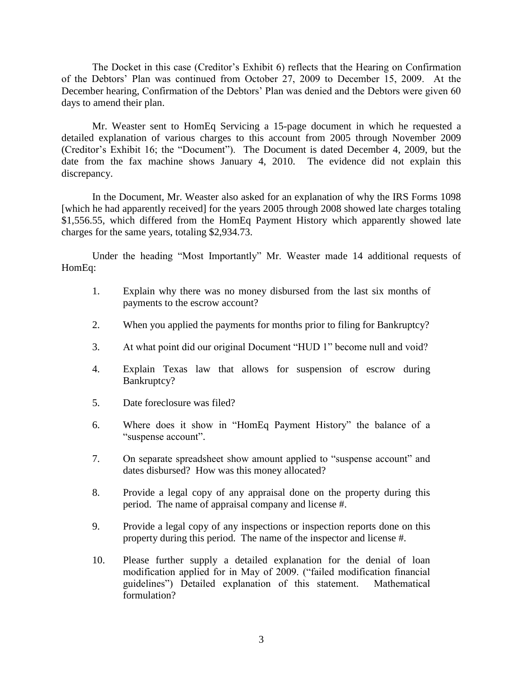The Docket in this case (Creditor's Exhibit 6) reflects that the Hearing on Confirmation of the Debtors' Plan was continued from October 27, 2009 to December 15, 2009. At the December hearing, Confirmation of the Debtors' Plan was denied and the Debtors were given 60 days to amend their plan.

Mr. Weaster sent to HomEq Servicing a 15-page document in which he requested a detailed explanation of various charges to this account from 2005 through November 2009 (Creditor's Exhibit 16; the "Document"). The Document is dated December 4, 2009, but the date from the fax machine shows January 4, 2010. The evidence did not explain this discrepancy.

In the Document, Mr. Weaster also asked for an explanation of why the IRS Forms 1098 [which he had apparently received] for the years 2005 through 2008 showed late charges totaling \$1,556.55, which differed from the HomEq Payment History which apparently showed late charges for the same years, totaling \$2,934.73.

Under the heading "Most Importantly" Mr. Weaster made 14 additional requests of HomEq:

- 1. Explain why there was no money disbursed from the last six months of payments to the escrow account?
- 2. When you applied the payments for months prior to filing for Bankruptcy?
- 3. At what point did our original Document "HUD 1" become null and void?
- 4. Explain Texas law that allows for suspension of escrow during Bankruptcy?
- 5. Date foreclosure was filed?
- 6. Where does it show in "HomEq Payment History" the balance of a "suspense account".
- 7. On separate spreadsheet show amount applied to "suspense account" and dates disbursed? How was this money allocated?
- 8. Provide a legal copy of any appraisal done on the property during this period. The name of appraisal company and license #.
- 9. Provide a legal copy of any inspections or inspection reports done on this property during this period. The name of the inspector and license #.
- 10. Please further supply a detailed explanation for the denial of loan modification applied for in May of 2009. ("failed modification financial guidelines") Detailed explanation of this statement. Mathematical formulation?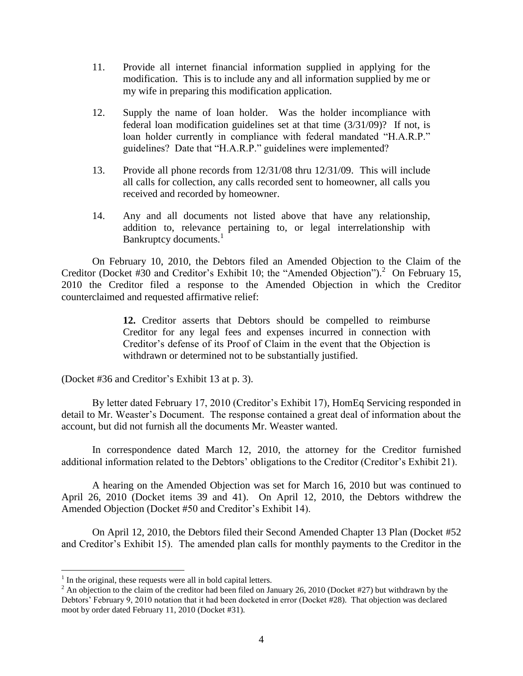- 11. Provide all internet financial information supplied in applying for the modification. This is to include any and all information supplied by me or my wife in preparing this modification application.
- 12. Supply the name of loan holder. Was the holder incompliance with federal loan modification guidelines set at that time (3/31/09)? If not, is loan holder currently in compliance with federal mandated "H.A.R.P." guidelines? Date that "H.A.R.P." guidelines were implemented?
- 13. Provide all phone records from 12/31/08 thru 12/31/09. This will include all calls for collection, any calls recorded sent to homeowner, all calls you received and recorded by homeowner.
- 14. Any and all documents not listed above that have any relationship, addition to, relevance pertaining to, or legal interrelationship with Bankruptcy documents. $<sup>1</sup>$ </sup>

On February 10, 2010, the Debtors filed an Amended Objection to the Claim of the Creditor (Docket #30 and Creditor's Exhibit 10; the "Amended Objection").<sup>2</sup> On February 15, 2010 the Creditor filed a response to the Amended Objection in which the Creditor counterclaimed and requested affirmative relief:

> **12.** Creditor asserts that Debtors should be compelled to reimburse Creditor for any legal fees and expenses incurred in connection with Creditor's defense of its Proof of Claim in the event that the Objection is withdrawn or determined not to be substantially justified.

(Docket #36 and Creditor's Exhibit 13 at p. 3).

By letter dated February 17, 2010 (Creditor's Exhibit 17), HomEq Servicing responded in detail to Mr. Weaster's Document. The response contained a great deal of information about the account, but did not furnish all the documents Mr. Weaster wanted.

In correspondence dated March 12, 2010, the attorney for the Creditor furnished additional information related to the Debtors' obligations to the Creditor (Creditor's Exhibit 21).

A hearing on the Amended Objection was set for March 16, 2010 but was continued to April 26, 2010 (Docket items 39 and 41). On April 12, 2010, the Debtors withdrew the Amended Objection (Docket #50 and Creditor's Exhibit 14).

On April 12, 2010, the Debtors filed their Second Amended Chapter 13 Plan (Docket #52 and Creditor's Exhibit 15). The amended plan calls for monthly payments to the Creditor in the

 $\overline{a}$ 

 $<sup>1</sup>$  In the original, these requests were all in bold capital letters.</sup>

<sup>&</sup>lt;sup>2</sup> An objection to the claim of the creditor had been filed on January 26, 2010 (Docket #27) but withdrawn by the Debtors' February 9, 2010 notation that it had been docketed in error (Docket #28). That objection was declared moot by order dated February 11, 2010 (Docket #31).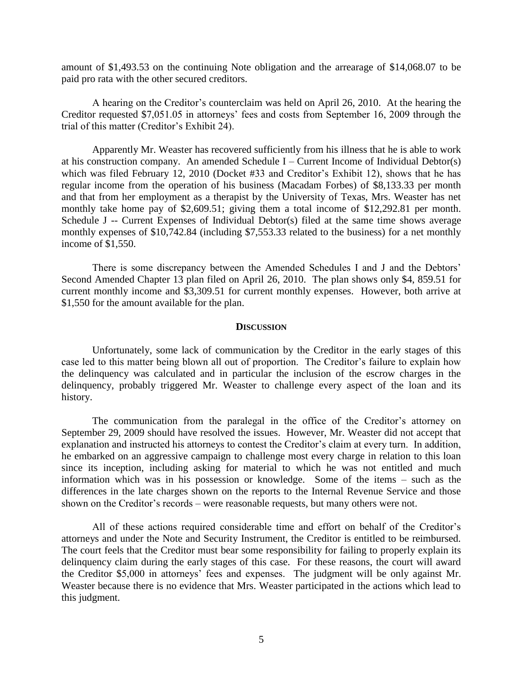amount of \$1,493.53 on the continuing Note obligation and the arrearage of \$14,068.07 to be paid pro rata with the other secured creditors.

A hearing on the Creditor's counterclaim was held on April 26, 2010. At the hearing the Creditor requested \$7,051.05 in attorneys' fees and costs from September 16, 2009 through the trial of this matter (Creditor's Exhibit 24).

Apparently Mr. Weaster has recovered sufficiently from his illness that he is able to work at his construction company. An amended Schedule I – Current Income of Individual Debtor(s) which was filed February 12, 2010 (Docket #33 and Creditor's Exhibit 12), shows that he has regular income from the operation of his business (Macadam Forbes) of \$8,133.33 per month and that from her employment as a therapist by the University of Texas, Mrs. Weaster has net monthly take home pay of \$2,609.51; giving them a total income of \$12,292.81 per month. Schedule J -- Current Expenses of Individual Debtor(s) filed at the same time shows average monthly expenses of \$10,742.84 (including \$7,553.33 related to the business) for a net monthly income of \$1,550.

There is some discrepancy between the Amended Schedules I and J and the Debtors' Second Amended Chapter 13 plan filed on April 26, 2010. The plan shows only \$4, 859.51 for current monthly income and \$3,309.51 for current monthly expenses. However, both arrive at \$1,550 for the amount available for the plan.

#### **DISCUSSION**

Unfortunately, some lack of communication by the Creditor in the early stages of this case led to this matter being blown all out of proportion. The Creditor's failure to explain how the delinquency was calculated and in particular the inclusion of the escrow charges in the delinquency, probably triggered Mr. Weaster to challenge every aspect of the loan and its history.

The communication from the paralegal in the office of the Creditor's attorney on September 29, 2009 should have resolved the issues. However, Mr. Weaster did not accept that explanation and instructed his attorneys to contest the Creditor's claim at every turn. In addition, he embarked on an aggressive campaign to challenge most every charge in relation to this loan since its inception, including asking for material to which he was not entitled and much information which was in his possession or knowledge. Some of the items – such as the differences in the late charges shown on the reports to the Internal Revenue Service and those shown on the Creditor's records – were reasonable requests, but many others were not.

All of these actions required considerable time and effort on behalf of the Creditor's attorneys and under the Note and Security Instrument, the Creditor is entitled to be reimbursed. The court feels that the Creditor must bear some responsibility for failing to properly explain its delinquency claim during the early stages of this case. For these reasons, the court will award the Creditor \$5,000 in attorneys' fees and expenses. The judgment will be only against Mr. Weaster because there is no evidence that Mrs. Weaster participated in the actions which lead to this judgment.